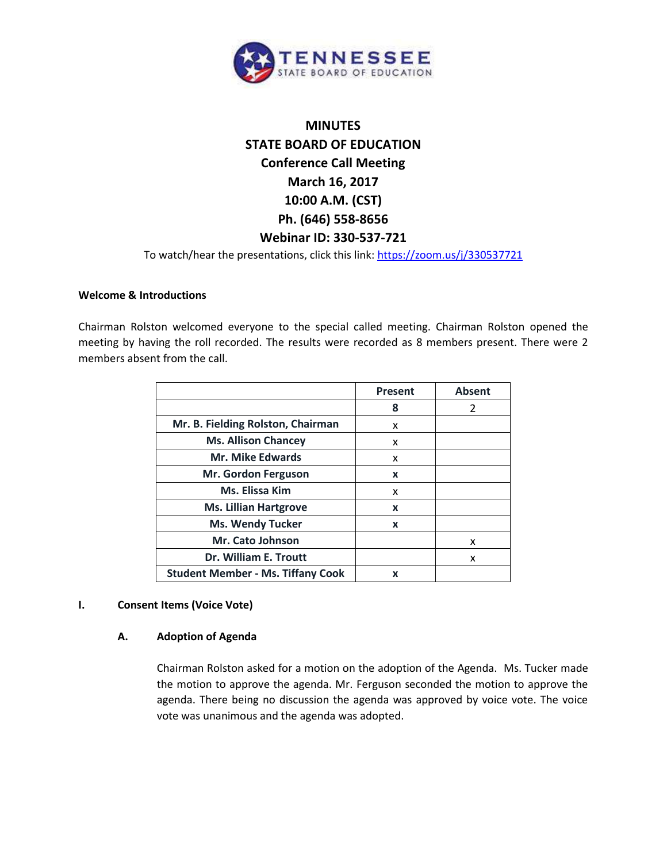

# **MINUTES STATE BOARD OF EDUCATION Conference Call Meeting March 16, 2017 10:00 A.M. (CST) Ph. (646) 558-8656 Webinar ID: 330-537-721**

To watch/hear the presentations, click this link:<https://zoom.us/j/330537721>

## **Welcome & Introductions**

Chairman Rolston welcomed everyone to the special called meeting. Chairman Rolston opened the meeting by having the roll recorded. The results were recorded as 8 members present. There were 2 members absent from the call.

|                                          | <b>Present</b> | <b>Absent</b> |
|------------------------------------------|----------------|---------------|
|                                          | 8              | 2             |
| Mr. B. Fielding Rolston, Chairman        | x              |               |
| <b>Ms. Allison Chancey</b>               | x              |               |
| <b>Mr. Mike Edwards</b>                  | x              |               |
| Mr. Gordon Ferguson                      | X              |               |
| Ms. Elissa Kim                           | x              |               |
| <b>Ms. Lillian Hartgrove</b>             | X              |               |
| <b>Ms. Wendy Tucker</b>                  | X              |               |
| Mr. Cato Johnson                         |                | x             |
| Dr. William E. Troutt                    |                | x             |
| <b>Student Member - Ms. Tiffany Cook</b> | x              |               |

## **I. Consent Items (Voice Vote)**

# **A. Adoption of Agenda**

Chairman Rolston asked for a motion on the adoption of the Agenda. Ms. Tucker made the motion to approve the agenda. Mr. Ferguson seconded the motion to approve the agenda. There being no discussion the agenda was approved by voice vote. The voice vote was unanimous and the agenda was adopted.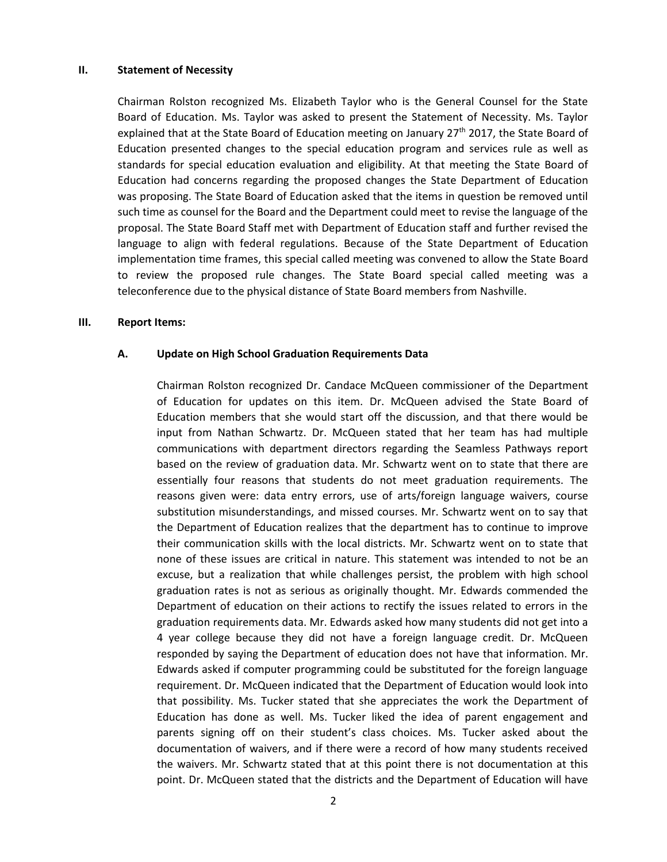#### **II. Statement of Necessity**

Chairman Rolston recognized Ms. Elizabeth Taylor who is the General Counsel for the State Board of Education. Ms. Taylor was asked to present the Statement of Necessity. Ms. Taylor explained that at the State Board of Education meeting on January 27<sup>th</sup> 2017, the State Board of Education presented changes to the special education program and services rule as well as standards for special education evaluation and eligibility. At that meeting the State Board of Education had concerns regarding the proposed changes the State Department of Education was proposing. The State Board of Education asked that the items in question be removed until such time as counsel for the Board and the Department could meet to revise the language of the proposal. The State Board Staff met with Department of Education staff and further revised the language to align with federal regulations. Because of the State Department of Education implementation time frames, this special called meeting was convened to allow the State Board to review the proposed rule changes. The State Board special called meeting was a teleconference due to the physical distance of State Board members from Nashville.

#### **III. Report Items:**

#### **A. Update on High School Graduation Requirements Data**

Chairman Rolston recognized Dr. Candace McQueen commissioner of the Department of Education for updates on this item. Dr. McQueen advised the State Board of Education members that she would start off the discussion, and that there would be input from Nathan Schwartz. Dr. McQueen stated that her team has had multiple communications with department directors regarding the Seamless Pathways report based on the review of graduation data. Mr. Schwartz went on to state that there are essentially four reasons that students do not meet graduation requirements. The reasons given were: data entry errors, use of arts/foreign language waivers, course substitution misunderstandings, and missed courses. Mr. Schwartz went on to say that the Department of Education realizes that the department has to continue to improve their communication skills with the local districts. Mr. Schwartz went on to state that none of these issues are critical in nature. This statement was intended to not be an excuse, but a realization that while challenges persist, the problem with high school graduation rates is not as serious as originally thought. Mr. Edwards commended the Department of education on their actions to rectify the issues related to errors in the graduation requirements data. Mr. Edwards asked how many students did not get into a 4 year college because they did not have a foreign language credit. Dr. McQueen responded by saying the Department of education does not have that information. Mr. Edwards asked if computer programming could be substituted for the foreign language requirement. Dr. McQueen indicated that the Department of Education would look into that possibility. Ms. Tucker stated that she appreciates the work the Department of Education has done as well. Ms. Tucker liked the idea of parent engagement and parents signing off on their student's class choices. Ms. Tucker asked about the documentation of waivers, and if there were a record of how many students received the waivers. Mr. Schwartz stated that at this point there is not documentation at this point. Dr. McQueen stated that the districts and the Department of Education will have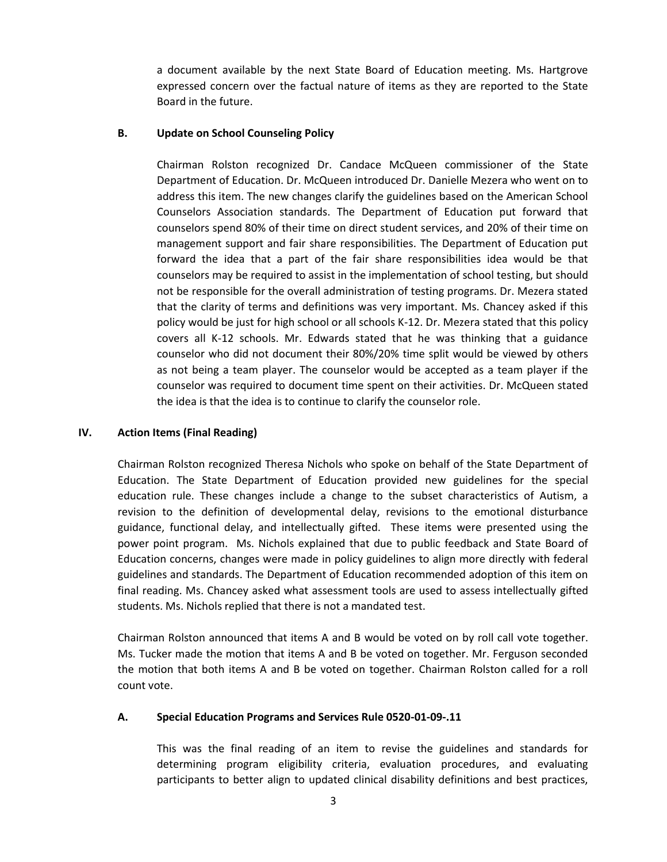a document available by the next State Board of Education meeting. Ms. Hartgrove expressed concern over the factual nature of items as they are reported to the State Board in the future.

## **B. Update on School Counseling Policy**

Chairman Rolston recognized Dr. Candace McQueen commissioner of the State Department of Education. Dr. McQueen introduced Dr. Danielle Mezera who went on to address this item. The new changes clarify the guidelines based on the American School Counselors Association standards. The Department of Education put forward that counselors spend 80% of their time on direct student services, and 20% of their time on management support and fair share responsibilities. The Department of Education put forward the idea that a part of the fair share responsibilities idea would be that counselors may be required to assist in the implementation of school testing, but should not be responsible for the overall administration of testing programs. Dr. Mezera stated that the clarity of terms and definitions was very important. Ms. Chancey asked if this policy would be just for high school or all schools K-12. Dr. Mezera stated that this policy covers all K-12 schools. Mr. Edwards stated that he was thinking that a guidance counselor who did not document their 80%/20% time split would be viewed by others as not being a team player. The counselor would be accepted as a team player if the counselor was required to document time spent on their activities. Dr. McQueen stated the idea is that the idea is to continue to clarify the counselor role.

## **IV. Action Items (Final Reading)**

Chairman Rolston recognized Theresa Nichols who spoke on behalf of the State Department of Education. The State Department of Education provided new guidelines for the special education rule. These changes include a change to the subset characteristics of Autism, a revision to the definition of developmental delay, revisions to the emotional disturbance guidance, functional delay, and intellectually gifted. These items were presented using the power point program. Ms. Nichols explained that due to public feedback and State Board of Education concerns, changes were made in policy guidelines to align more directly with federal guidelines and standards. The Department of Education recommended adoption of this item on final reading. Ms. Chancey asked what assessment tools are used to assess intellectually gifted students. Ms. Nichols replied that there is not a mandated test.

Chairman Rolston announced that items A and B would be voted on by roll call vote together. Ms. Tucker made the motion that items A and B be voted on together. Mr. Ferguson seconded the motion that both items A and B be voted on together. Chairman Rolston called for a roll count vote.

## **A. Special Education Programs and Services Rule 0520-01-09-.11**

This was the final reading of an item to revise the guidelines and standards for determining program eligibility criteria, evaluation procedures, and evaluating participants to better align to updated clinical disability definitions and best practices,